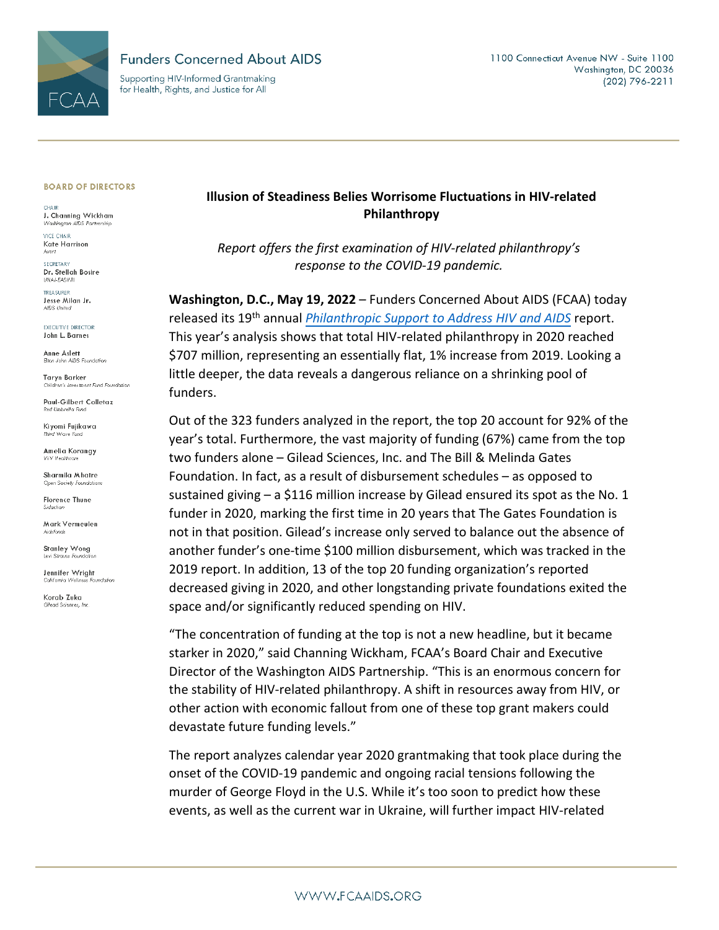

## **Funders Concerned About AIDS**

Supporting HIV-Informed Grantmaking for Health, Rights, and Justice for All

#### **BOARD OF DIRECTORS**

CHAIR. J. Channing Wickham Washington AIDS Partnership

**VICE CHAIR** Kate Harrison<br>Avert

SECRETARY Dr. Stellah Bosire UHAI-EASHRI

TREASURER Jesse Milan Jr. AIDS United

**EXECUTIVE DIRECTOR** John L. Barnes

Anne Aslett Eton John AIDS Foundation

**Taryn Barker** Children's Investment Fund Foundation

Paul-Gilbert Colletaz

Kivomi Fuiikawa nird Wave Func

Amelia Korangy

Sharmila Mhatre Open Society Foundations

**Florence Thune** Sidaction

Mark Vermeulen Aidsfonds

Stanley Wong Levi Straus

Jennifer Wright California Wellness Foundation

Korab Zuka Gilead Sciences, Inc.

# Illusion of Steadiness Belies Worrisome Fluctuations in HIV-related Philanthropy

Report offers the first examination of HIV-related philanthropy's response to the COVID-19 pandemic.

Washington, D.C., May 19, 2022 - Funders Concerned About AIDS (FCAA) today released its 19th annual *Philanthropic Support to Address HIV and AIDS* report. This year's analysis shows that total HIV-related philanthropy in 2020 reached \$707 million, representing an essentially flat, 1% increase from 2019. Looking a little deeper, the data reveals a dangerous reliance on a shrinking pool of funders.

Out of the 323 funders analyzed in the report, the top 20 account for 92% of the year's total. Furthermore, the vast majority of funding (67%) came from the top two funders alone - Gilead Sciences, Inc. and The Bill & Melinda Gates Foundation. In fact, as a result of disbursement schedules – as opposed to sustained giving  $-$  a \$116 million increase by Gilead ensured its spot as the No. 1 funder in 2020, marking the first time in 20 years that The Gates Foundation is not in that position. Gilead's increase only served to balance out the absence of another funder's one-time \$100 million disbursement, which was tracked in the 2019 report. In addition, 13 of the top 20 funding organization's reported decreased giving in 2020, and other longstanding private foundations exited the space and/or significantly reduced spending on HIV.

"The concentration of funding at the top is not a new headline, but it became starker in 2020," said Channing Wickham, FCAA's Board Chair and Executive Director of the Washington AIDS Partnership. "This is an enormous concern for the stability of HIV-related philanthropy. A shift in resources away from HIV, or other action with economic fallout from one of these top grant makers could devastate future funding levels."

The report analyzes calendar year 2020 grantmaking that took place during the onset of the COVID-19 pandemic and ongoing racial tensions following the murder of George Floyd in the U.S. While it's too soon to predict how these events, as well as the current war in Ukraine, will further impact HIV-related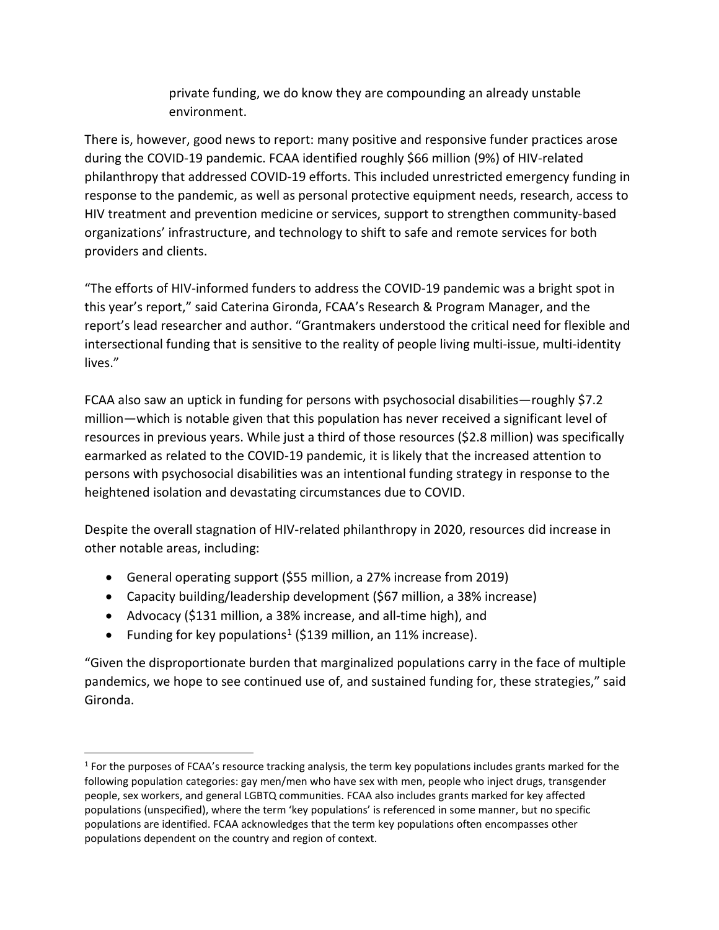private funding, we do know they are compounding an already unstable environment.

There is, however, good news to report: many positive and responsive funder practices arose during the COVID-19 pandemic. FCAA identified roughly \$66 million (9%) of HIV-related philanthropy that addressed COVID-19 efforts. This included unrestricted emergency funding in response to the pandemic, as well as personal protective equipment needs, research, access to HIV treatment and prevention medicine or services, support to strengthen community-based organizations' infrastructure, and technology to shift to safe and remote services for both providers and clients.

"The efforts of HIV-informed funders to address the COVID-19 pandemic was a bright spot in this year's report," said Caterina Gironda, FCAA's Research & Program Manager, and the report's lead researcher and author. "Grantmakers understood the critical need for flexible and intersectional funding that is sensitive to the reality of people living multi-issue, multi-identity lives."

FCAA also saw an uptick in funding for persons with psychosocial disabilities—roughly \$7.2 million—which is notable given that this population has never received a significant level of resources in previous years. While just a third of those resources (\$2.8 million) was specifically earmarked as related to the COVID-19 pandemic, it is likely that the increased attention to persons with psychosocial disabilities was an intentional funding strategy in response to the heightened isolation and devastating circumstances due to COVID.

Despite the overall stagnation of HIV-related philanthropy in 2020, resources did increase in other notable areas, including:

- General operating support (\$55 million, a 27% increase from 2019)
- Capacity building/leadership development (\$67 million, a 38% increase)
- Advocacy (\$131 million, a 38% increase, and all-time high), and
- Funding for key populations<sup>[1](#page-1-0)</sup> (\$139 million, an 11% increase).

"Given the disproportionate burden that marginalized populations carry in the face of multiple pandemics, we hope to see continued use of, and sustained funding for, these strategies," said Gironda.

<span id="page-1-0"></span><sup>&</sup>lt;sup>1</sup> For the purposes of FCAA's resource tracking analysis, the term key populations includes grants marked for the following population categories: gay men/men who have sex with men, people who inject drugs, transgender people, sex workers, and general LGBTQ communities. FCAA also includes grants marked for key affected populations (unspecified), where the term 'key populations' is referenced in some manner, but no specific populations are identified. FCAA acknowledges that the term key populations often encompasses other populations dependent on the country and region of context.